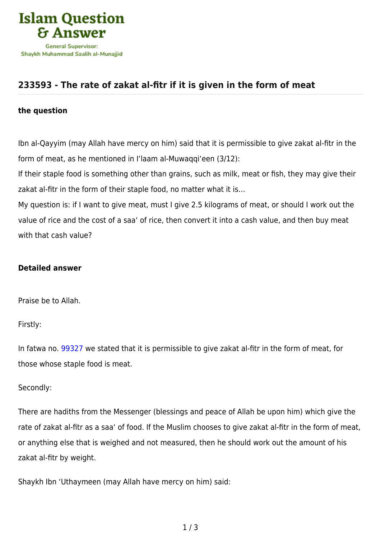

## **[233593 - The rate of zakat al-fitr if it is given in the form of meat](https://islamqa.com/en/answers/233593/the-rate-of-zakat-al-fitr-if-it-is-given-in-the-form-of-meat)**

## **the question**

Ibn al-Qayyim (may Allah have mercy on him) said that it is permissible to give zakat al-fitr in the form of meat, as he mentioned in I'laam al-Muwaqqi'een (3/12):

If their staple food is something other than grains, such as milk, meat or fish, they may give their zakat al-fitr in the form of their staple food, no matter what it is…

My question is: if I want to give meat, must I give 2.5 kilograms of meat, or should I work out the value of rice and the cost of a saa' of rice, then convert it into a cash value, and then buy meat with that cash value?

## **Detailed answer**

Praise be to Allah.

Firstly:

In fatwa no. [99327](https://islamqa.com/en/answers/99327) we stated that it is permissible to give zakat al-fitr in the form of meat, for those whose staple food is meat.

## Secondly:

There are hadiths from the Messenger (blessings and peace of Allah be upon him) which give the rate of zakat al-fitr as a saa' of food. If the Muslim chooses to give zakat al-fitr in the form of meat, or anything else that is weighed and not measured, then he should work out the amount of his zakat al-fitr by weight.

Shaykh Ibn 'Uthaymeen (may Allah have mercy on him) said: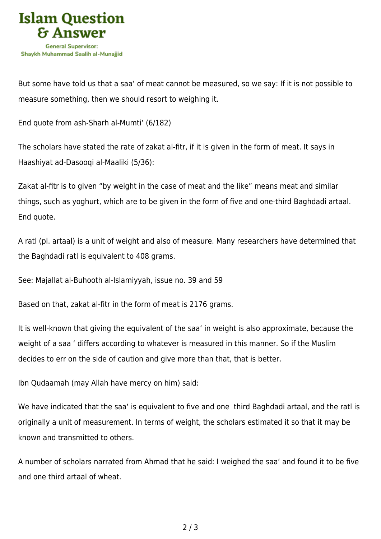

But some have told us that a saa' of meat cannot be measured, so we say: If it is not possible to measure something, then we should resort to weighing it.

End quote from ash-Sharh al-Mumti' (6/182)

The scholars have stated the rate of zakat al-fitr, if it is given in the form of meat. It says in Haashiyat ad-Dasooqi al-Maaliki (5/36):

Zakat al-fitr is to given "by weight in the case of meat and the like" means meat and similar things, such as yoghurt, which are to be given in the form of five and one-third Baghdadi artaal. End quote.

A ratl (pl. artaal) is a unit of weight and also of measure. Many researchers have determined that the Baghdadi ratl is equivalent to 408 grams.

See: Majallat al-Buhooth al-Islamiyyah, issue no. 39 and 59

Based on that, zakat al-fitr in the form of meat is 2176 grams.

It is well-known that giving the equivalent of the saa' in weight is also approximate, because the weight of a saa ' differs according to whatever is measured in this manner. So if the Muslim decides to err on the side of caution and give more than that, that is better.

Ibn Qudaamah (may Allah have mercy on him) said:

We have indicated that the saa' is equivalent to five and one third Baghdadi artaal, and the ratl is originally a unit of measurement. In terms of weight, the scholars estimated it so that it may be known and transmitted to others.

A number of scholars narrated from Ahmad that he said: I weighed the saa' and found it to be five and one third artaal of wheat.